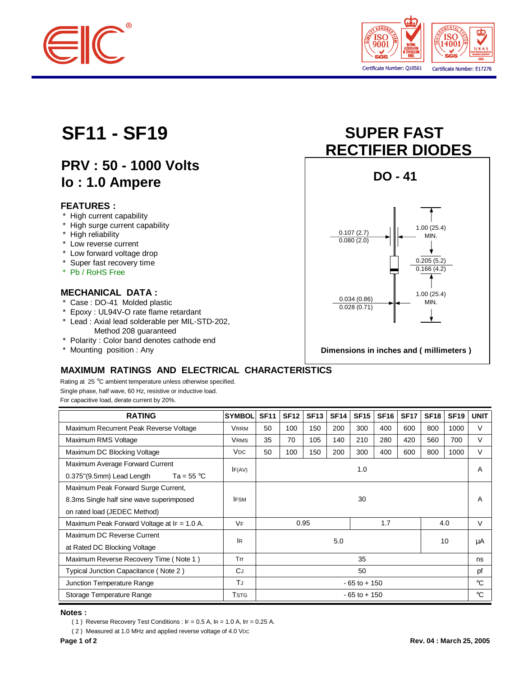



# **PRV : 50 - 1000 Volts Io : 1.0 Ampere**

#### **FEATURES :**

- \* High current capability
- \* High surge current capability
- \* High reliability
- \* Low reverse current
- \* Low forward voltage drop
- \* Super fast recovery time
- \* Pb / RoHS Free

### **MECHANICAL DATA :**

- \* Case : DO-41 Molded plastic
- \* Epoxy : UL94V-O rate flame retardant
- \* Lead : Axial lead solderable per MIL-STD-202, Method 208 guaranteed
- \* Polarity : Color band denotes cathode end
- \* Mounting position : Any

# **SF11 - SF19 SUPER FAST RECTIFIER DIODES**



### **MAXIMUM RATINGS AND ELECTRICAL CHARACTERISTICS**

Rating at 25 °C ambient temperature unless otherwise specified. Single phase, half wave, 60 Hz, resistive or inductive load.

For capacitive load, derate current by 20%.

| <b>RATING</b>                                       | <b>SYMBOL</b>          | <b>SF11</b>     | <b>SF12</b> | <b>SF13</b> | <b>SF14</b> | <b>SF15</b> | <b>SF16</b> | <b>SF17</b> | <b>SF18</b> | <b>SF19</b> | <b>UNIT</b> |
|-----------------------------------------------------|------------------------|-----------------|-------------|-------------|-------------|-------------|-------------|-------------|-------------|-------------|-------------|
| Maximum Recurrent Peak Reverse Voltage              | <b>VRRM</b>            | 50              | 100         | 150         | 200         | 300         | 400         | 600         | 800         | 1000        | V           |
| Maximum RMS Voltage                                 | <b>VRMS</b>            | 35              | 70          | 105         | 140         | 210         | 280         | 420         | 560         | 700         | V           |
| Maximum DC Blocking Voltage                         | <b>V<sub>DC</sub></b>  | 50              | 100         | 150         | 200         | 300         | 400         | 600         | 800         | 1000        | V           |
| Maximum Average Forward Current                     |                        | 1.0             |             |             |             |             |             |             |             |             |             |
| $0.375$ "(9.5mm) Lead Length<br>Ta = $55^{\circ}$ C | IF(AV)                 |                 |             |             |             |             |             |             |             | Α           |             |
| Maximum Peak Forward Surge Current,                 | 30<br><b>IFSM</b>      |                 |             |             |             |             |             |             |             |             |             |
| 8.3ms Single half sine wave superimposed            |                        |                 |             |             |             |             |             |             | Α           |             |             |
| on rated load (JEDEC Method)                        |                        |                 |             |             |             |             |             |             |             |             |             |
| Maximum Peak Forward Voltage at $IF = 1.0$ A.       | VF                     | 1.7<br>0.95     |             |             |             |             |             | 4.0         | V           |             |             |
| Maximum DC Reverse Current                          | <b>IR</b><br>5.0<br>10 |                 |             |             |             |             |             | μA          |             |             |             |
| at Rated DC Blocking Voltage                        |                        |                 |             |             |             |             |             |             |             |             |             |
| Maximum Reverse Recovery Time (Note 1)              | Trr                    | 35              |             |             |             |             |             |             |             | ns          |             |
| Typical Junction Capacitance (Note 2)               | <b>CJ</b>              | 50              |             |             |             |             |             |             |             | pf          |             |
| Junction Temperature Range                          | TJ                     | $-65$ to $+150$ |             |             |             |             |             |             |             | $^{\circ}C$ |             |
| Storage Temperature Range                           | <b>TSTG</b>            | $-65$ to $+150$ |             |             |             |             |             |             |             |             | $^{\circ}C$ |

#### **Notes :**

( 1 ) Reverse Recovery Test Conditions :  $IF = 0.5$  A,  $IR = 1.0$  A,  $Ir = 0.25$  A.

( 2 ) Measured at 1.0 MHz and applied reverse voltage of 4.0 VDC